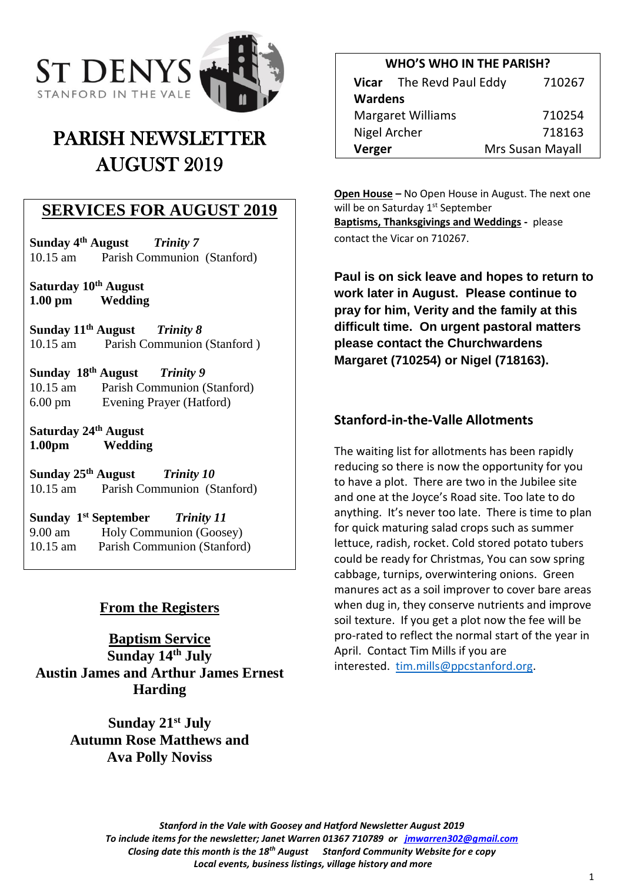

# PARISH NEWSLETTER AUGUST 2019

## **SERVICES FOR AUGUST 2019**

**Sunday 4 th August** *Trinity 7* 10.15 am Parish Communion (Stanford)

**Saturday 10th August 1.00 pm Wedding**

**Sunday 11 th August** *Trinity 8* 10.15 am Parish Communion (Stanford )

**Sunday 18 th August** *Trinity 9*  10.15 am Parish Communion (Stanford) 6.00 pm Evening Prayer (Hatford)

**Saturday 24th August 1.00pm Wedding**

**Sunday 25 th August** *Trinity 10* 10.15 am Parish Communion (Stanford)

**Sunday 1 st September** *Trinity 11* 9.00 am Holy Communion (Goosey) 10.15 am Parish Communion (Stanford)

## **From the Registers**

**Baptism Service Sunday 14th July Austin James and Arthur James Ernest Harding**

> **Sunday 21st July Autumn Rose Matthews and Ava Polly Noviss**

| <b>WHO'S WHO IN THE PARISH?</b> |                                    |                  |
|---------------------------------|------------------------------------|------------------|
|                                 | Vicar The Revd Paul Eddy<br>710267 |                  |
| <b>Wardens</b>                  |                                    |                  |
| <b>Margaret Williams</b>        |                                    | 710254           |
| Nigel Archer                    |                                    | 718163           |
| Verger                          |                                    | Mrs Susan Mayall |

**Open House –** No Open House in August. The next one will be on Saturday 1<sup>st</sup> September **Baptisms, Thanksgivings and Weddings -** please contact the Vicar on 710267.

**Paul is on sick leave and hopes to return to work later in August. Please continue to pray for him, Verity and the family at this difficult time. On urgent pastoral matters please contact the Churchwardens Margaret (710254) or Nigel (718163).**

#### **Stanford-in-the-Valle Allotments**

The waiting list for allotments has been rapidly reducing so there is now the opportunity for you to have a plot. There are two in the Jubilee site and one at the Joyce's Road site. Too late to do anything. It's never too late. There is time to plan for quick maturing salad crops such as summer lettuce, radish, rocket. Cold stored potato tubers could be ready for Christmas, You can sow spring cabbage, turnips, overwintering onions. Green manures act as a soil improver to cover bare areas when dug in, they conserve nutrients and improve soil texture. If you get a plot now the fee will be pro-rated to reflect the normal start of the year in April. Contact Tim Mills if you are interested. [tim.mills@ppcstanford.org.](mailto:tim.mills@ppcstanford.org)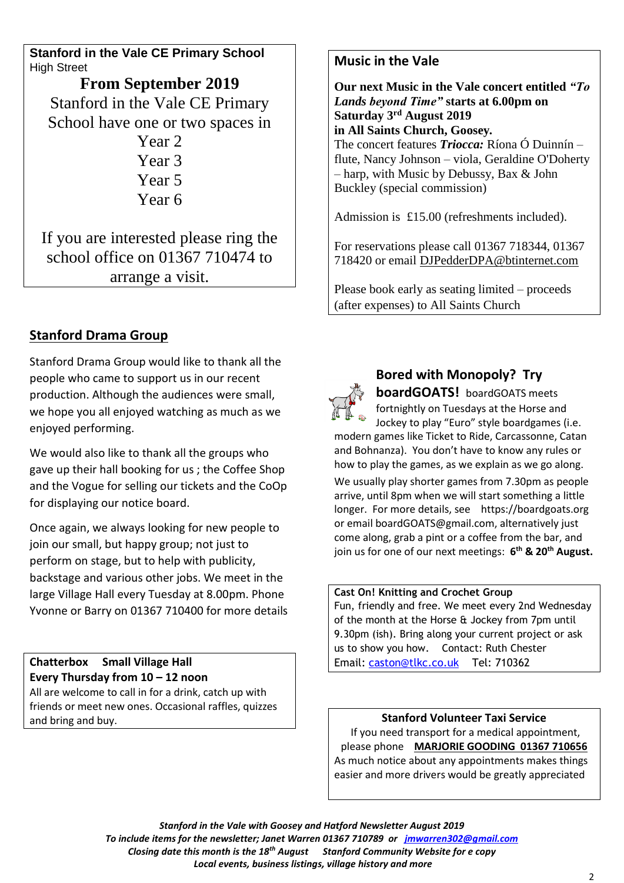**Stanford in the Vale CE Primary School** High Street

**From September 2019** Stanford in the Vale CE Primary School have one or two spaces in Year 2 Year 3 Year 5 Year 6

If you are interested please ring the school office on 01367 710474 to arrange a visit.

## **Stanford Drama Group**

Stanford Drama Group would like to thank all the people who came to support us in our recent production. Although the audiences were small, we hope you all enjoyed watching as much as we enjoyed performing.

We would also like to thank all the groups who gave up their hall booking for us ; the Coffee Shop and the Vogue for selling our tickets and the CoOp for displaying our notice board.

Once again, we always looking for new people to join our small, but happy group; not just to perform on stage, but to help with publicity, backstage and various other jobs. We meet in the large Village Hall every Tuesday at 8.00pm. Phone Yvonne or Barry on 01367 710400 for more details

**Chatterbox Small Village Hall Every Thursday from 10 – 12 noon** All are welcome to call in for a drink, catch up with friends or meet new ones. Occasional raffles, quizzes and bring and buy.

#### **Music in the Vale**

**Our next Music in the Vale concert entitled** *"To Lands beyond Time"* **starts at 6.00pm on Saturday 3rd August 2019 in All Saints Church, Goosey***.*  The concert features *Triocca:* Ríona Ó Duinnín – flute, Nancy Johnson – viola, Geraldine O'Doherty – harp, with Music by Debussy, Bax & John Buckley (special commission)

Admission is £15.00 (refreshments included).

For reservations please call 01367 718344, 01367 718420 or email [DJPedderDPA@btinternet.com](mailto:DJPedderDPA@btinternet.com)

Please book early as seating limited – proceeds (after expenses) to All Saints Church



## **Bored with Monopoly? Try**

**boardGOATS!** boardGOATS meets fortnightly on Tuesdays at the Horse and Jockey to play "Euro" style boardgames (i.e.

modern games like Ticket to Ride, Carcassonne, Catan and Bohnanza). You don't have to know any rules or how to play the games, as we explain as we go along. We usually play shorter games from 7.30pm as people arrive, until 8pm when we will start something a little longer. For more details, see https://boardgoats.org or email boardGOATS@gmail.com, alternatively just come along, grab a pint or a coffee from the bar, and join us for one of our next meetings: **6 th & 20th August.**

#### **Cast On! Knitting and Crochet Group**

Fun, friendly and free. We meet every 2nd Wednesday of the month at the Horse & Jockey from 7pm until 9.30pm (ish). Bring along your current project or ask us to show you how. Contact: Ruth Chester Email: [caston@tlkc.co.uk](mailto:caston@tlkc.co.uk) Tel: 710362

**Stanford Volunteer Taxi Service** If you need transport for a medical appointment, please phone **MARJORIE GOODING 01367 710656** As much notice about any appointments makes things easier and more drivers would be greatly appreciated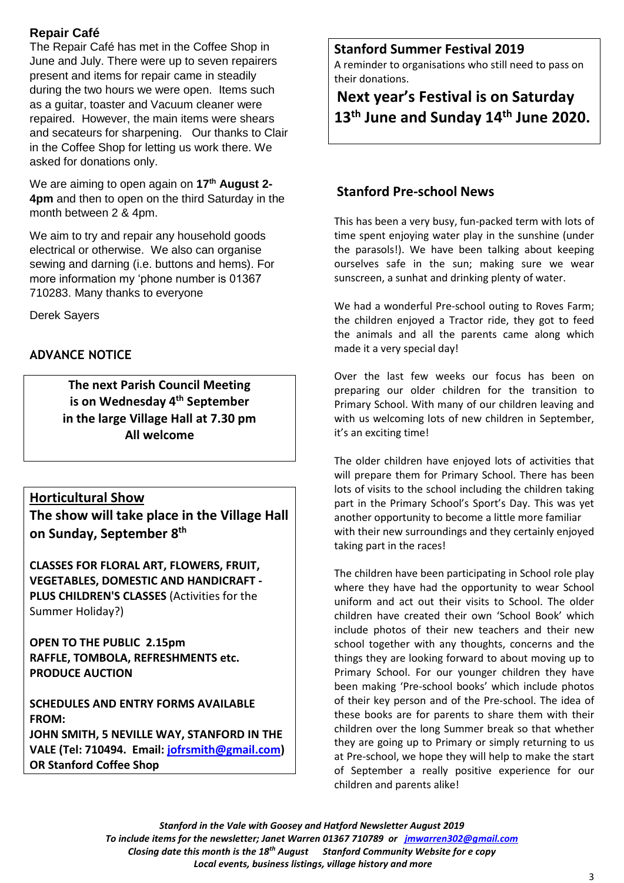#### **Repair Café**

The Repair Café has met in the Coffee Shop in June and July. There were up to seven repairers present and items for repair came in steadily during the two hours we were open. Items such as a guitar, toaster and Vacuum cleaner were repaired. However, the main items were shears and secateurs for sharpening. Our thanks to Clair in the Coffee Shop for letting us work there. We asked for donations only.

We are aiming to open again on **17th August 2- 4pm** and then to open on the third Saturday in the month between 2 & 4pm.

We aim to try and repair any household goods electrical or otherwise. We also can organise sewing and darning (i.e. buttons and hems). For more information my 'phone number is 01367 710283. Many thanks to everyone

Derek Sayers

#### **ADVANCE NOTICE**

**The next Parish Council Meeting is on Wednesday 4 th September in the large Village Hall at 7.30 pm All welcome** 

#### **Horticultural Show**

**The show will take place in the Village Hall on Sunday, September 8 th**

**CLASSES FOR FLORAL ART, FLOWERS, FRUIT, VEGETABLES, DOMESTIC AND HANDICRAFT - PLUS CHILDREN'S CLASSES** (Activities for the Summer Holiday?)

**OPEN TO THE PUBLIC 2.15pm RAFFLE, TOMBOLA, REFRESHMENTS etc. PRODUCE AUCTION**

**SCHEDULES AND ENTRY FORMS AVAILABLE FROM: JOHN SMITH, 5 NEVILLE WAY, STANFORD IN THE VALE (Tel: 710494. Email: [jofrsmith@gmail.com\)](mailto:jofrsmith@gmail.com) OR Stanford Coffee Shop**

#### **Stanford Summer Festival 2019**

A reminder to organisations who still need to pass on their donations.

# **Next year's Festival is on Saturday 13 th June and Sunday 14 th June 2020.**

#### **Stanford Pre-school News**

This has been a very busy, fun-packed term with lots of time spent enjoying water play in the sunshine (under the parasols!). We have been talking about keeping ourselves safe in the sun; making sure we wear sunscreen, a sunhat and drinking plenty of water.

We had a wonderful Pre-school outing to Roves Farm; the children enjoyed a Tractor ride, they got to feed the animals and all the parents came along which made it a very special day!

Over the last few weeks our focus has been on preparing our older children for the transition to Primary School. With many of our children leaving and with us welcoming lots of new children in September, it's an exciting time!

The older children have enjoyed lots of activities that will prepare them for Primary School. There has been lots of visits to the school including the children taking part in the Primary School's Sport's Day. This was yet another opportunity to become a little more familiar with their new surroundings and they certainly enjoyed taking part in the races!

The children have been participating in School role play where they have had the opportunity to wear School uniform and act out their visits to School. The older children have created their own 'School Book' which include photos of their new teachers and their new school together with any thoughts, concerns and the things they are looking forward to about moving up to Primary School. For our younger children they have been making 'Pre-school books' which include photos of their key person and of the Pre-school. The idea of these books are for parents to share them with their children over the long Summer break so that whether they are going up to Primary or simply returning to us at Pre-school, we hope they will help to make the start of September a really positive experience for our children and parents alike!